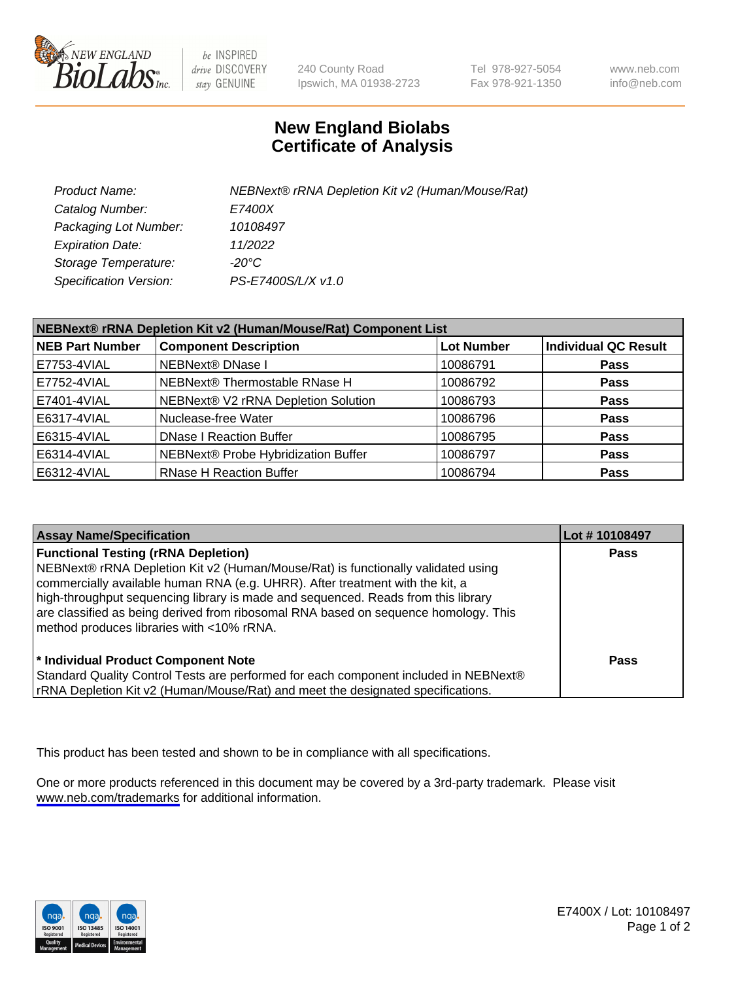

be INSPIRED drive DISCOVERY stay GENUINE

240 County Road Ipswich, MA 01938-2723 Tel 978-927-5054 Fax 978-921-1350

www.neb.com info@neb.com

## **New England Biolabs Certificate of Analysis**

| Product Name:           | NEBNext® rRNA Depletion Kit v2 (Human/Mouse/Rat) |
|-------------------------|--------------------------------------------------|
| Catalog Number:         | <i>E7400X</i>                                    |
| Packaging Lot Number:   | 10108497                                         |
| <b>Expiration Date:</b> | 11/2022                                          |
| Storage Temperature:    | -20°C                                            |
| Specification Version:  | PS-E7400S/L/X v1.0                               |

| NEBNext® rRNA Depletion Kit v2 (Human/Mouse/Rat) Component List |                                     |                   |                             |  |
|-----------------------------------------------------------------|-------------------------------------|-------------------|-----------------------------|--|
| <b>NEB Part Number</b>                                          | <b>Component Description</b>        | <b>Lot Number</b> | <b>Individual QC Result</b> |  |
| E7753-4VIAL                                                     | NEBNext® DNase I                    | 10086791          | <b>Pass</b>                 |  |
| E7752-4VIAL                                                     | NEBNext® Thermostable RNase H       | 10086792          | <b>Pass</b>                 |  |
| E7401-4VIAL                                                     | NEBNext® V2 rRNA Depletion Solution | 10086793          | <b>Pass</b>                 |  |
| E6317-4VIAL                                                     | Nuclease-free Water                 | 10086796          | <b>Pass</b>                 |  |
| E6315-4VIAL                                                     | <b>DNase I Reaction Buffer</b>      | 10086795          | <b>Pass</b>                 |  |
| E6314-4VIAL                                                     | NEBNext® Probe Hybridization Buffer | 10086797          | <b>Pass</b>                 |  |
| E6312-4VIAL                                                     | <b>RNase H Reaction Buffer</b>      | 10086794          | <b>Pass</b>                 |  |

| <b>Assay Name/Specification</b>                                                                                                                                                                                                                                                                                                                                                                                                          | Lot #10108497 |
|------------------------------------------------------------------------------------------------------------------------------------------------------------------------------------------------------------------------------------------------------------------------------------------------------------------------------------------------------------------------------------------------------------------------------------------|---------------|
| <b>Functional Testing (rRNA Depletion)</b><br>NEBNext® rRNA Depletion Kit v2 (Human/Mouse/Rat) is functionally validated using<br>commercially available human RNA (e.g. UHRR). After treatment with the kit, a<br>high-throughput sequencing library is made and sequenced. Reads from this library<br>are classified as being derived from ribosomal RNA based on sequence homology. This<br>method produces libraries with <10% rRNA. | <b>Pass</b>   |
| * Individual Product Component Note<br>Standard Quality Control Tests are performed for each component included in NEBNext®<br>rRNA Depletion Kit v2 (Human/Mouse/Rat) and meet the designated specifications.                                                                                                                                                                                                                           | Pass          |

This product has been tested and shown to be in compliance with all specifications.

One or more products referenced in this document may be covered by a 3rd-party trademark. Please visit <www.neb.com/trademarks>for additional information.